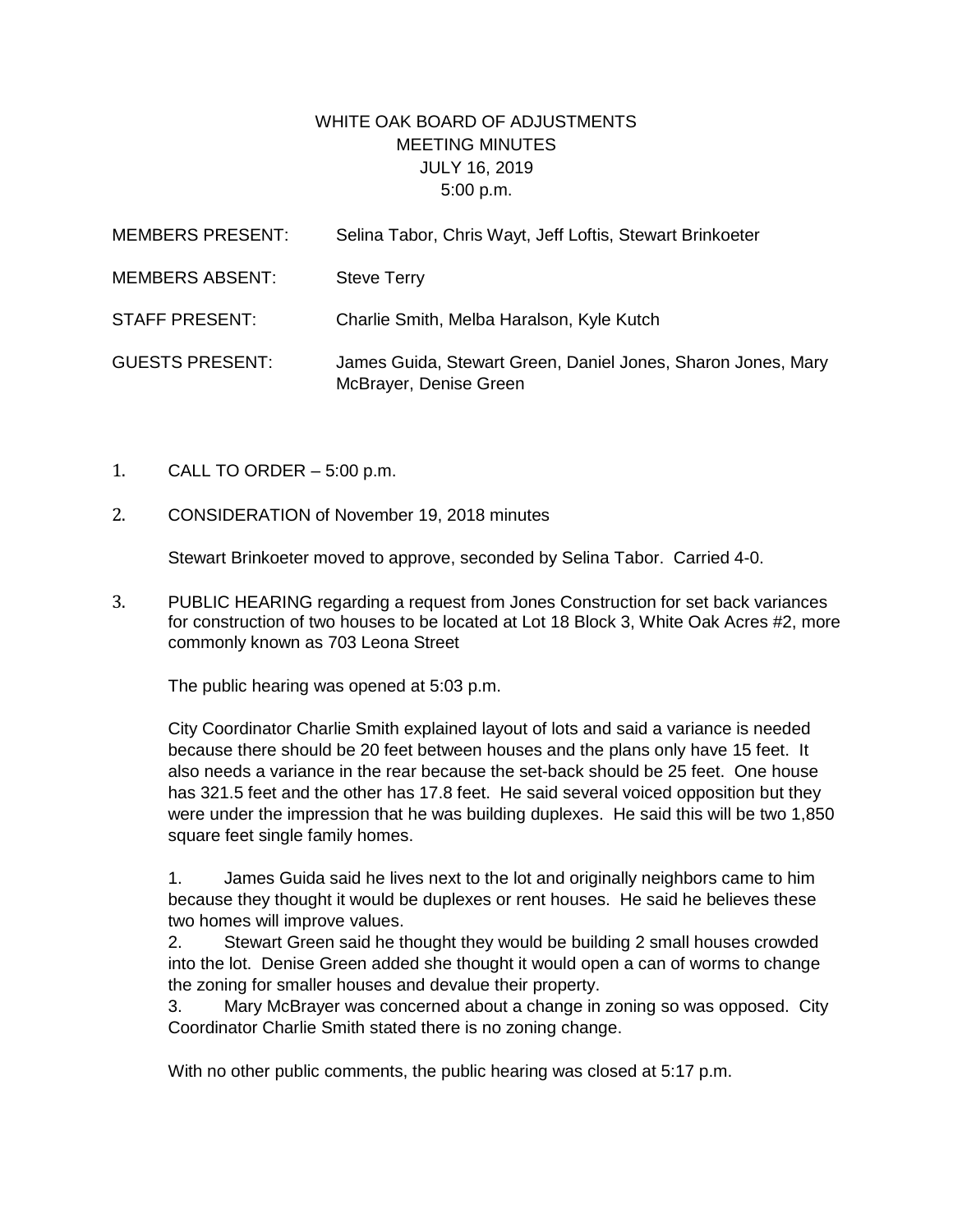## WHITE OAK BOARD OF ADJUSTMENTS MEETING MINUTES JULY 16, 2019 5:00 p.m.

| <b>MEMBERS PRESENT:</b> | Selina Tabor, Chris Wayt, Jeff Loftis, Stewart Brinkoeter                              |
|-------------------------|----------------------------------------------------------------------------------------|
| <b>MEMBERS ABSENT:</b>  | <b>Steve Terry</b>                                                                     |
| <b>STAFF PRESENT:</b>   | Charlie Smith, Melba Haralson, Kyle Kutch                                              |
| <b>GUESTS PRESENT:</b>  | James Guida, Stewart Green, Daniel Jones, Sharon Jones, Mary<br>McBrayer, Denise Green |

- 1. CALL TO ORDER 5:00 p.m.
- 2. CONSIDERATION of November 19, 2018 minutes

Stewart Brinkoeter moved to approve, seconded by Selina Tabor. Carried 4-0.

3. PUBLIC HEARING regarding a request from Jones Construction for set back variances for construction of two houses to be located at Lot 18 Block 3, White Oak Acres #2, more commonly known as 703 Leona Street

The public hearing was opened at 5:03 p.m.

City Coordinator Charlie Smith explained layout of lots and said a variance is needed because there should be 20 feet between houses and the plans only have 15 feet. It also needs a variance in the rear because the set-back should be 25 feet. One house has 321.5 feet and the other has 17.8 feet. He said several voiced opposition but they were under the impression that he was building duplexes. He said this will be two 1,850 square feet single family homes.

1. James Guida said he lives next to the lot and originally neighbors came to him because they thought it would be duplexes or rent houses. He said he believes these two homes will improve values.

2. Stewart Green said he thought they would be building 2 small houses crowded into the lot. Denise Green added she thought it would open a can of worms to change the zoning for smaller houses and devalue their property.

3. Mary McBrayer was concerned about a change in zoning so was opposed. City Coordinator Charlie Smith stated there is no zoning change.

With no other public comments, the public hearing was closed at 5:17 p.m.